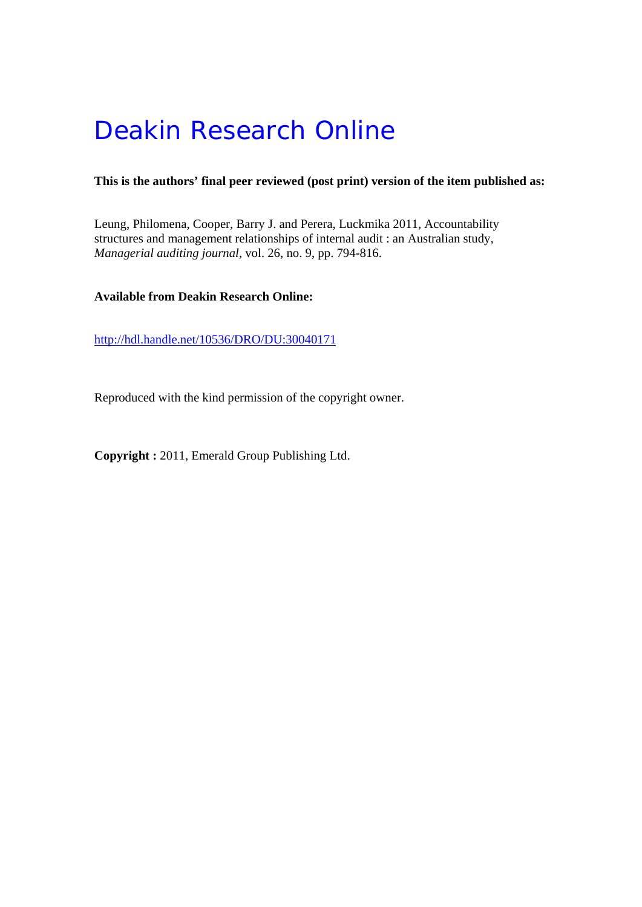# Deakin Research Online

# **This is the authors' final peer reviewed (post print) version of the item published as:**

Leung, Philomena, Cooper, Barry J. and Perera, Luckmika 2011, Accountability structures and management relationships of internal audit : an Australian study*, Managerial auditing journal*, vol. 26, no. 9, pp. 794-816.

**Available from Deakin Research Online:** 

http://hdl.handle.net/10536/DRO/DU:30040171

Reproduced with the kind permission of the copyright owner.

**Copyright :** 2011, Emerald Group Publishing Ltd.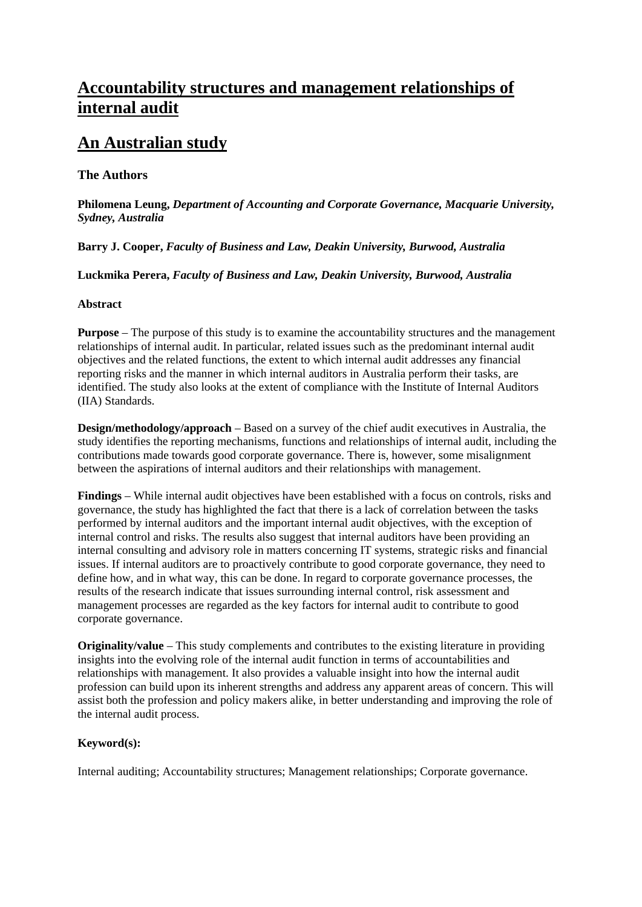# **Accountability structures and management relationships of internal audit**

# **An Australian study**

# **The Authors**

**Philomena Leung,** *Department of Accounting and Corporate Governance, Macquarie University, Sydney, Australia*

**Barry J. Cooper,** *Faculty of Business and Law, Deakin University, Burwood, Australia*

**Luckmika Perera,** *Faculty of Business and Law, Deakin University, Burwood, Australia*

# **Abstract**

**Purpose** – The purpose of this study is to examine the accountability structures and the management relationships of internal audit. In particular, related issues such as the predominant internal audit objectives and the related functions, the extent to which internal audit addresses any financial reporting risks and the manner in which internal auditors in Australia perform their tasks, are identified. The study also looks at the extent of compliance with the Institute of Internal Auditors (IIA) Standards.

**Design/methodology/approach** – Based on a survey of the chief audit executives in Australia, the study identifies the reporting mechanisms, functions and relationships of internal audit, including the contributions made towards good corporate governance. There is, however, some misalignment between the aspirations of internal auditors and their relationships with management.

**Findings** – While internal audit objectives have been established with a focus on controls, risks and governance, the study has highlighted the fact that there is a lack of correlation between the tasks performed by internal auditors and the important internal audit objectives, with the exception of internal control and risks. The results also suggest that internal auditors have been providing an internal consulting and advisory role in matters concerning IT systems, strategic risks and financial issues. If internal auditors are to proactively contribute to good corporate governance, they need to define how, and in what way, this can be done. In regard to corporate governance processes, the results of the research indicate that issues surrounding internal control, risk assessment and management processes are regarded as the key factors for internal audit to contribute to good corporate governance.

**Originality/value** – This study complements and contributes to the existing literature in providing insights into the evolving role of the internal audit function in terms of accountabilities and relationships with management. It also provides a valuable insight into how the internal audit profession can build upon its inherent strengths and address any apparent areas of concern. This will assist both the profession and policy makers alike, in better understanding and improving the role of the internal audit process.

# **Keyword(s):**

Internal auditing; Accountability structures; Management relationships; Corporate governance.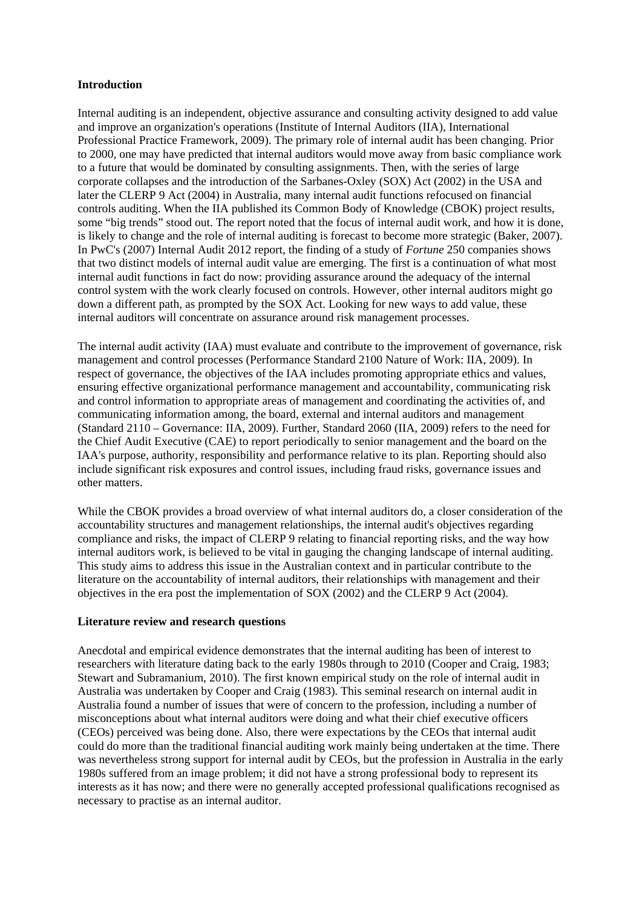#### **Introduction**

Internal auditing is an independent, objective assurance and consulting activity designed to add value and improve an organization's operations (Institute of Internal Auditors (IIA), International Professional Practice Framework, 2009). The primary role of internal audit has been changing. Prior to 2000, one may have predicted that internal auditors would move away from basic compliance work to a future that would be dominated by consulting assignments. Then, with the series of large corporate collapses and the introduction of the Sarbanes-Oxley (SOX) Act (2002) in the USA and later the CLERP 9 Act (2004) in Australia, many internal audit functions refocused on financial controls auditing. When the IIA published its Common Body of Knowledge (CBOK) project results, some "big trends" stood out. The report noted that the focus of internal audit work, and how it is done, is likely to change and the role of internal auditing is forecast to become more strategic (Baker, 2007). In PwC's (2007) Internal Audit 2012 report, the finding of a study of *Fortune* 250 companies shows that two distinct models of internal audit value are emerging. The first is a continuation of what most internal audit functions in fact do now: providing assurance around the adequacy of the internal control system with the work clearly focused on controls. However, other internal auditors might go down a different path, as prompted by the SOX Act. Looking for new ways to add value, these internal auditors will concentrate on assurance around risk management processes.

The internal audit activity (IAA) must evaluate and contribute to the improvement of governance, risk management and control processes (Performance Standard 2100 Nature of Work: IIA, 2009). In respect of governance, the objectives of the IAA includes promoting appropriate ethics and values, ensuring effective organizational performance management and accountability, communicating risk and control information to appropriate areas of management and coordinating the activities of, and communicating information among, the board, external and internal auditors and management (Standard 2110 – Governance: IIA, 2009). Further, Standard 2060 (IIA, 2009) refers to the need for the Chief Audit Executive (CAE) to report periodically to senior management and the board on the IAA's purpose, authority, responsibility and performance relative to its plan. Reporting should also include significant risk exposures and control issues, including fraud risks, governance issues and other matters.

While the CBOK provides a broad overview of what internal auditors do, a closer consideration of the accountability structures and management relationships, the internal audit's objectives regarding compliance and risks, the impact of CLERP 9 relating to financial reporting risks, and the way how internal auditors work, is believed to be vital in gauging the changing landscape of internal auditing. This study aims to address this issue in the Australian context and in particular contribute to the literature on the accountability of internal auditors, their relationships with management and their objectives in the era post the implementation of SOX (2002) and the CLERP 9 Act (2004).

## **Literature review and research questions**

Anecdotal and empirical evidence demonstrates that the internal auditing has been of interest to researchers with literature dating back to the early 1980s through to 2010 (Cooper and Craig, 1983; Stewart and Subramanium, 2010). The first known empirical study on the role of internal audit in Australia was undertaken by Cooper and Craig (1983). This seminal research on internal audit in Australia found a number of issues that were of concern to the profession, including a number of misconceptions about what internal auditors were doing and what their chief executive officers (CEOs) perceived was being done. Also, there were expectations by the CEOs that internal audit could do more than the traditional financial auditing work mainly being undertaken at the time. There was nevertheless strong support for internal audit by CEOs, but the profession in Australia in the early 1980s suffered from an image problem; it did not have a strong professional body to represent its interests as it has now; and there were no generally accepted professional qualifications recognised as necessary to practise as an internal auditor.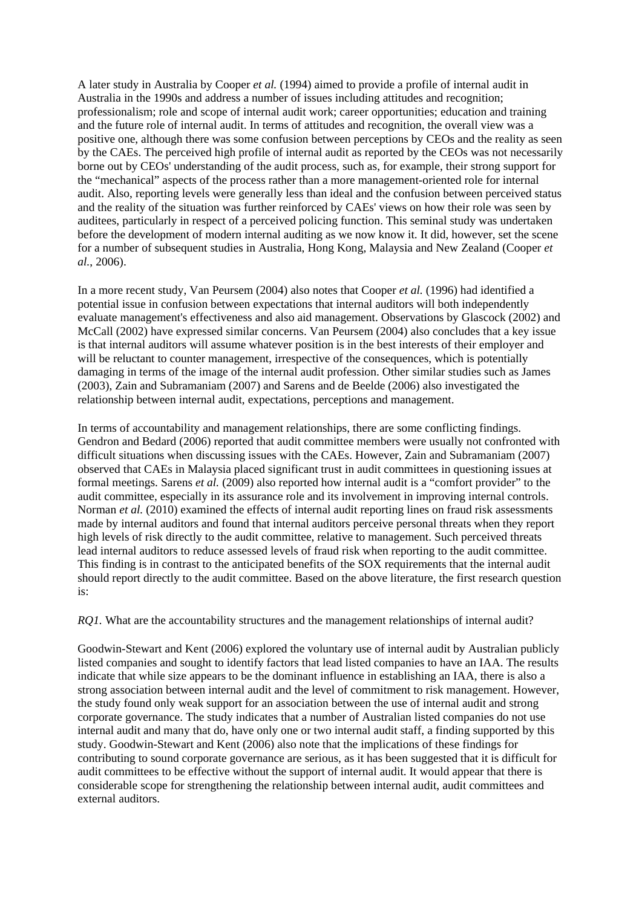A later study in Australia by Cooper *et al.* (1994) aimed to provide a profile of internal audit in Australia in the 1990s and address a number of issues including attitudes and recognition; professionalism; role and scope of internal audit work; career opportunities; education and training and the future role of internal audit. In terms of attitudes and recognition, the overall view was a positive one, although there was some confusion between perceptions by CEOs and the reality as seen by the CAEs. The perceived high profile of internal audit as reported by the CEOs was not necessarily borne out by CEOs' understanding of the audit process, such as, for example, their strong support for the "mechanical" aspects of the process rather than a more management-oriented role for internal audit. Also, reporting levels were generally less than ideal and the confusion between perceived status and the reality of the situation was further reinforced by CAEs' views on how their role was seen by auditees, particularly in respect of a perceived policing function. This seminal study was undertaken before the development of modern internal auditing as we now know it. It did, however, set the scene for a number of subsequent studies in Australia, Hong Kong, Malaysia and New Zealand (Cooper *et al.*, 2006).

In a more recent study, Van Peursem (2004) also notes that Cooper *et al.* (1996) had identified a potential issue in confusion between expectations that internal auditors will both independently evaluate management's effectiveness and also aid management. Observations by Glascock (2002) and McCall (2002) have expressed similar concerns. Van Peursem (2004) also concludes that a key issue is that internal auditors will assume whatever position is in the best interests of their employer and will be reluctant to counter management, irrespective of the consequences, which is potentially damaging in terms of the image of the internal audit profession. Other similar studies such as James (2003), Zain and Subramaniam (2007) and Sarens and de Beelde (2006) also investigated the relationship between internal audit, expectations, perceptions and management.

In terms of accountability and management relationships, there are some conflicting findings. Gendron and Bedard (2006) reported that audit committee members were usually not confronted with difficult situations when discussing issues with the CAEs. However, Zain and Subramaniam (2007) observed that CAEs in Malaysia placed significant trust in audit committees in questioning issues at formal meetings. Sarens *et al.* (2009) also reported how internal audit is a "comfort provider" to the audit committee, especially in its assurance role and its involvement in improving internal controls. Norman *et al.* (2010) examined the effects of internal audit reporting lines on fraud risk assessments made by internal auditors and found that internal auditors perceive personal threats when they report high levels of risk directly to the audit committee, relative to management. Such perceived threats lead internal auditors to reduce assessed levels of fraud risk when reporting to the audit committee. This finding is in contrast to the anticipated benefits of the SOX requirements that the internal audit should report directly to the audit committee. Based on the above literature, the first research question is:

*RO1*. What are the accountability structures and the management relationships of internal audit?

Goodwin-Stewart and Kent (2006) explored the voluntary use of internal audit by Australian publicly listed companies and sought to identify factors that lead listed companies to have an IAA. The results indicate that while size appears to be the dominant influence in establishing an IAA, there is also a strong association between internal audit and the level of commitment to risk management. However, the study found only weak support for an association between the use of internal audit and strong corporate governance. The study indicates that a number of Australian listed companies do not use internal audit and many that do, have only one or two internal audit staff, a finding supported by this study. Goodwin-Stewart and Kent (2006) also note that the implications of these findings for contributing to sound corporate governance are serious, as it has been suggested that it is difficult for audit committees to be effective without the support of internal audit. It would appear that there is considerable scope for strengthening the relationship between internal audit, audit committees and external auditors.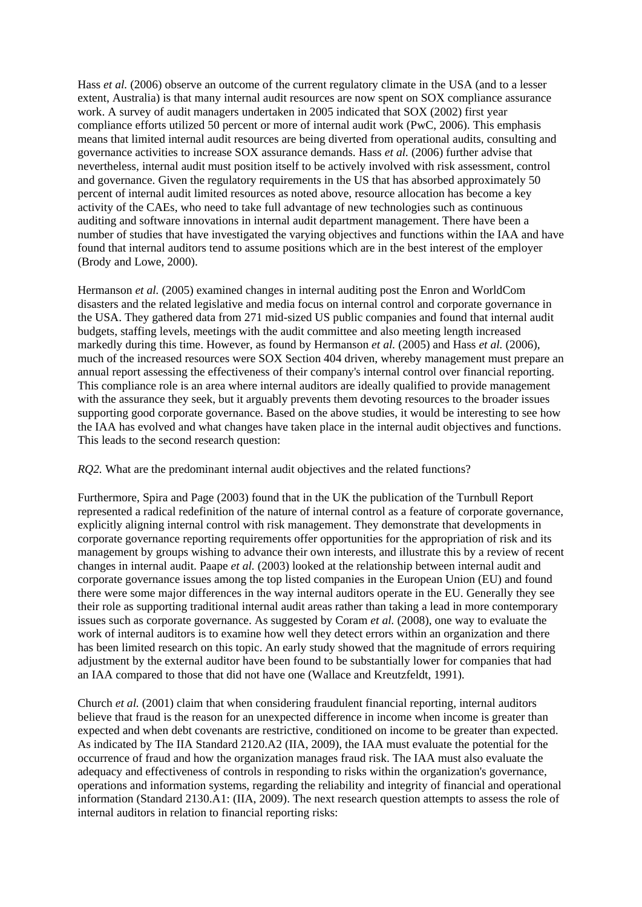Hass *et al.* (2006) observe an outcome of the current regulatory climate in the USA (and to a lesser extent, Australia) is that many internal audit resources are now spent on SOX compliance assurance work. A survey of audit managers undertaken in 2005 indicated that SOX (2002) first year compliance efforts utilized 50 percent or more of internal audit work (PwC, 2006). This emphasis means that limited internal audit resources are being diverted from operational audits, consulting and governance activities to increase SOX assurance demands. Hass *et al.* (2006) further advise that nevertheless, internal audit must position itself to be actively involved with risk assessment, control and governance. Given the regulatory requirements in the US that has absorbed approximately 50 percent of internal audit limited resources as noted above, resource allocation has become a key activity of the CAEs, who need to take full advantage of new technologies such as continuous auditing and software innovations in internal audit department management. There have been a number of studies that have investigated the varying objectives and functions within the IAA and have found that internal auditors tend to assume positions which are in the best interest of the employer (Brody and Lowe, 2000).

Hermanson *et al.* (2005) examined changes in internal auditing post the Enron and WorldCom disasters and the related legislative and media focus on internal control and corporate governance in the USA. They gathered data from 271 mid-sized US public companies and found that internal audit budgets, staffing levels, meetings with the audit committee and also meeting length increased markedly during this time. However, as found by Hermanson *et al.* (2005) and Hass *et al.* (2006), much of the increased resources were SOX Section 404 driven, whereby management must prepare an annual report assessing the effectiveness of their company's internal control over financial reporting. This compliance role is an area where internal auditors are ideally qualified to provide management with the assurance they seek, but it arguably prevents them devoting resources to the broader issues supporting good corporate governance. Based on the above studies, it would be interesting to see how the IAA has evolved and what changes have taken place in the internal audit objectives and functions. This leads to the second research question:

## *RQ2.* What are the predominant internal audit objectives and the related functions?

Furthermore, Spira and Page (2003) found that in the UK the publication of the Turnbull Report represented a radical redefinition of the nature of internal control as a feature of corporate governance, explicitly aligning internal control with risk management. They demonstrate that developments in corporate governance reporting requirements offer opportunities for the appropriation of risk and its management by groups wishing to advance their own interests, and illustrate this by a review of recent changes in internal audit. Paape *et al.* (2003) looked at the relationship between internal audit and corporate governance issues among the top listed companies in the European Union (EU) and found there were some major differences in the way internal auditors operate in the EU. Generally they see their role as supporting traditional internal audit areas rather than taking a lead in more contemporary issues such as corporate governance. As suggested by Coram *et al.* (2008), one way to evaluate the work of internal auditors is to examine how well they detect errors within an organization and there has been limited research on this topic. An early study showed that the magnitude of errors requiring adjustment by the external auditor have been found to be substantially lower for companies that had an IAA compared to those that did not have one (Wallace and Kreutzfeldt, 1991).

Church *et al.* (2001) claim that when considering fraudulent financial reporting, internal auditors believe that fraud is the reason for an unexpected difference in income when income is greater than expected and when debt covenants are restrictive, conditioned on income to be greater than expected. As indicated by The IIA Standard 2120.A2 (IIA, 2009), the IAA must evaluate the potential for the occurrence of fraud and how the organization manages fraud risk. The IAA must also evaluate the adequacy and effectiveness of controls in responding to risks within the organization's governance, operations and information systems, regarding the reliability and integrity of financial and operational information (Standard 2130.A1: (IIA, 2009). The next research question attempts to assess the role of internal auditors in relation to financial reporting risks: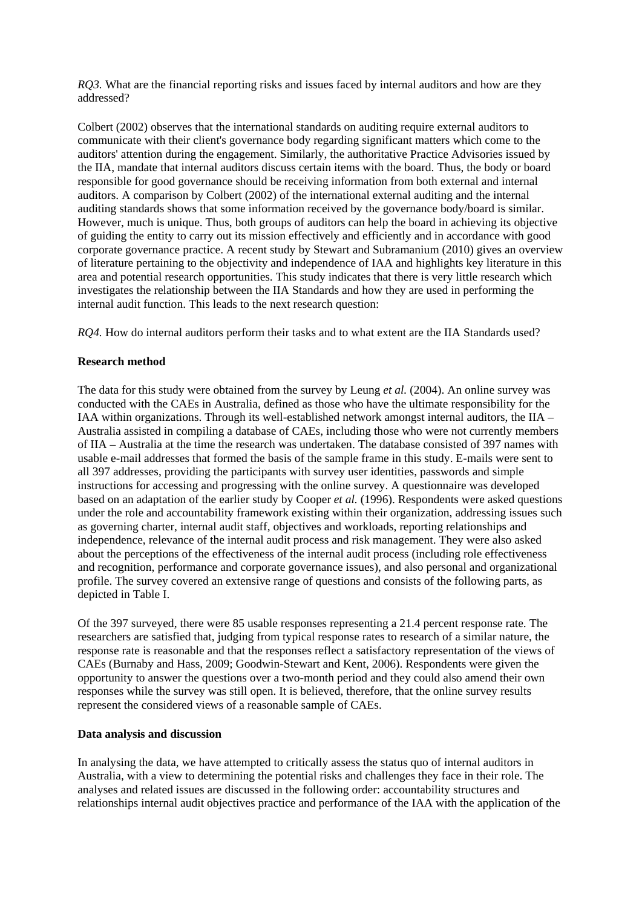*RQ3*. What are the financial reporting risks and issues faced by internal auditors and how are they addressed?

Colbert (2002) observes that the international standards on auditing require external auditors to communicate with their client's governance body regarding significant matters which come to the auditors' attention during the engagement. Similarly, the authoritative Practice Advisories issued by the IIA, mandate that internal auditors discuss certain items with the board. Thus, the body or board responsible for good governance should be receiving information from both external and internal auditors. A comparison by Colbert (2002) of the international external auditing and the internal auditing standards shows that some information received by the governance body/board is similar. However, much is unique. Thus, both groups of auditors can help the board in achieving its objective of guiding the entity to carry out its mission effectively and efficiently and in accordance with good corporate governance practice. A recent study by Stewart and Subramanium (2010) gives an overview of literature pertaining to the objectivity and independence of IAA and highlights key literature in this area and potential research opportunities. This study indicates that there is very little research which investigates the relationship between the IIA Standards and how they are used in performing the internal audit function. This leads to the next research question:

*RQ4.* How do internal auditors perform their tasks and to what extent are the IIA Standards used?

# **Research method**

The data for this study were obtained from the survey by Leung *et al.* (2004). An online survey was conducted with the CAEs in Australia, defined as those who have the ultimate responsibility for the IAA within organizations. Through its well-established network amongst internal auditors, the IIA – Australia assisted in compiling a database of CAEs, including those who were not currently members of IIA – Australia at the time the research was undertaken. The database consisted of 397 names with usable e-mail addresses that formed the basis of the sample frame in this study. E-mails were sent to all 397 addresses, providing the participants with survey user identities, passwords and simple instructions for accessing and progressing with the online survey. A questionnaire was developed based on an adaptation of the earlier study by Cooper *et al.* (1996). Respondents were asked questions under the role and accountability framework existing within their organization, addressing issues such as governing charter, internal audit staff, objectives and workloads, reporting relationships and independence, relevance of the internal audit process and risk management. They were also asked about the perceptions of the effectiveness of the internal audit process (including role effectiveness and recognition, performance and corporate governance issues), and also personal and organizational profile. The survey covered an extensive range of questions and consists of the following parts, as depicted in Table I.

Of the 397 surveyed, there were 85 usable responses representing a 21.4 percent response rate. The researchers are satisfied that, judging from typical response rates to research of a similar nature, the response rate is reasonable and that the responses reflect a satisfactory representation of the views of CAEs (Burnaby and Hass, 2009; Goodwin-Stewart and Kent, 2006). Respondents were given the opportunity to answer the questions over a two-month period and they could also amend their own responses while the survey was still open. It is believed, therefore, that the online survey results represent the considered views of a reasonable sample of CAEs.

## **Data analysis and discussion**

In analysing the data, we have attempted to critically assess the status quo of internal auditors in Australia, with a view to determining the potential risks and challenges they face in their role. The analyses and related issues are discussed in the following order: accountability structures and relationships internal audit objectives practice and performance of the IAA with the application of the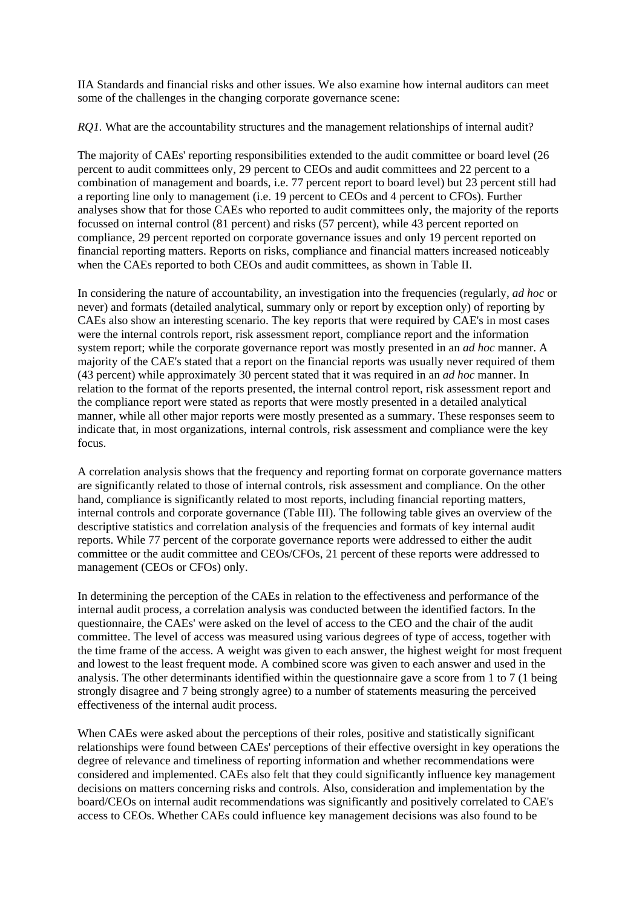IIA Standards and financial risks and other issues. We also examine how internal auditors can meet some of the challenges in the changing corporate governance scene:

*RQ1.* What are the accountability structures and the management relationships of internal audit?

The majority of CAEs' reporting responsibilities extended to the audit committee or board level (26 percent to audit committees only, 29 percent to CEOs and audit committees and 22 percent to a combination of management and boards, i.e. 77 percent report to board level) but 23 percent still had a reporting line only to management (i.e. 19 percent to CEOs and 4 percent to CFOs). Further analyses show that for those CAEs who reported to audit committees only, the majority of the reports focussed on internal control (81 percent) and risks (57 percent), while 43 percent reported on compliance, 29 percent reported on corporate governance issues and only 19 percent reported on financial reporting matters. Reports on risks, compliance and financial matters increased noticeably when the CAEs reported to both CEOs and audit committees, as shown in Table II.

In considering the nature of accountability, an investigation into the frequencies (regularly, *ad hoc* or never) and formats (detailed analytical, summary only or report by exception only) of reporting by CAEs also show an interesting scenario. The key reports that were required by CAE's in most cases were the internal controls report, risk assessment report, compliance report and the information system report; while the corporate governance report was mostly presented in an *ad hoc* manner. A majority of the CAE's stated that a report on the financial reports was usually never required of them (43 percent) while approximately 30 percent stated that it was required in an *ad hoc* manner. In relation to the format of the reports presented, the internal control report, risk assessment report and the compliance report were stated as reports that were mostly presented in a detailed analytical manner, while all other major reports were mostly presented as a summary. These responses seem to indicate that, in most organizations, internal controls, risk assessment and compliance were the key focus.

A correlation analysis shows that the frequency and reporting format on corporate governance matters are significantly related to those of internal controls, risk assessment and compliance. On the other hand, compliance is significantly related to most reports, including financial reporting matters, internal controls and corporate governance (Table III). The following table gives an overview of the descriptive statistics and correlation analysis of the frequencies and formats of key internal audit reports. While 77 percent of the corporate governance reports were addressed to either the audit committee or the audit committee and CEOs/CFOs, 21 percent of these reports were addressed to management (CEOs or CFOs) only.

In determining the perception of the CAEs in relation to the effectiveness and performance of the internal audit process, a correlation analysis was conducted between the identified factors. In the questionnaire, the CAEs' were asked on the level of access to the CEO and the chair of the audit committee. The level of access was measured using various degrees of type of access, together with the time frame of the access. A weight was given to each answer, the highest weight for most frequent and lowest to the least frequent mode. A combined score was given to each answer and used in the analysis. The other determinants identified within the questionnaire gave a score from 1 to 7 (1 being strongly disagree and 7 being strongly agree) to a number of statements measuring the perceived effectiveness of the internal audit process.

When CAEs were asked about the perceptions of their roles, positive and statistically significant relationships were found between CAEs' perceptions of their effective oversight in key operations the degree of relevance and timeliness of reporting information and whether recommendations were considered and implemented. CAEs also felt that they could significantly influence key management decisions on matters concerning risks and controls. Also, consideration and implementation by the board/CEOs on internal audit recommendations was significantly and positively correlated to CAE's access to CEOs. Whether CAEs could influence key management decisions was also found to be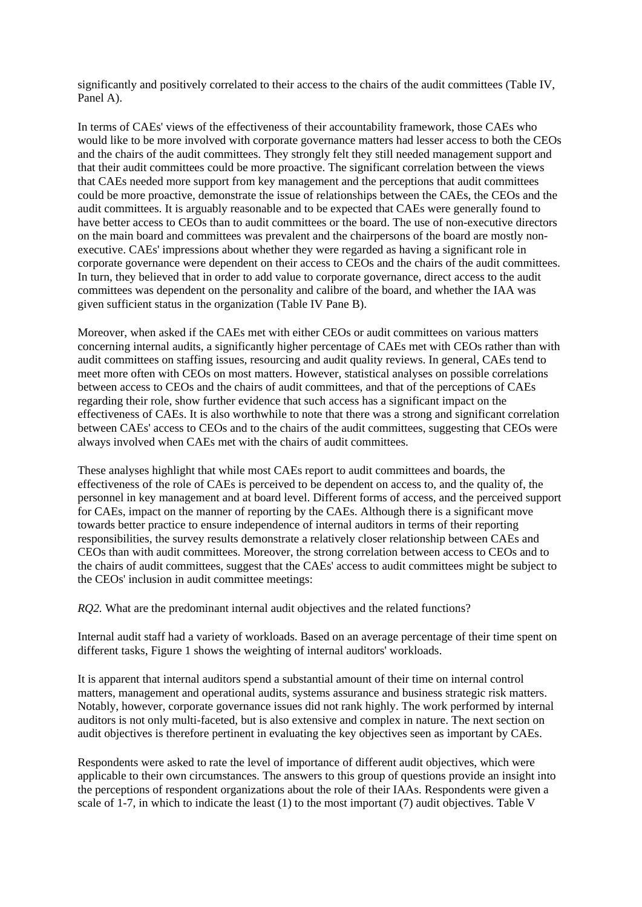significantly and positively correlated to their access to the chairs of the audit committees (Table IV, Panel A).

In terms of CAEs' views of the effectiveness of their accountability framework, those CAEs who would like to be more involved with corporate governance matters had lesser access to both the CEOs and the chairs of the audit committees. They strongly felt they still needed management support and that their audit committees could be more proactive. The significant correlation between the views that CAEs needed more support from key management and the perceptions that audit committees could be more proactive, demonstrate the issue of relationships between the CAEs, the CEOs and the audit committees. It is arguably reasonable and to be expected that CAEs were generally found to have better access to CEOs than to audit committees or the board. The use of non-executive directors on the main board and committees was prevalent and the chairpersons of the board are mostly nonexecutive. CAEs' impressions about whether they were regarded as having a significant role in corporate governance were dependent on their access to CEOs and the chairs of the audit committees. In turn, they believed that in order to add value to corporate governance, direct access to the audit committees was dependent on the personality and calibre of the board, and whether the IAA was given sufficient status in the organization (Table IV Pane B).

Moreover, when asked if the CAEs met with either CEOs or audit committees on various matters concerning internal audits, a significantly higher percentage of CAEs met with CEOs rather than with audit committees on staffing issues, resourcing and audit quality reviews. In general, CAEs tend to meet more often with CEOs on most matters. However, statistical analyses on possible correlations between access to CEOs and the chairs of audit committees, and that of the perceptions of CAEs regarding their role, show further evidence that such access has a significant impact on the effectiveness of CAEs. It is also worthwhile to note that there was a strong and significant correlation between CAEs' access to CEOs and to the chairs of the audit committees, suggesting that CEOs were always involved when CAEs met with the chairs of audit committees.

These analyses highlight that while most CAEs report to audit committees and boards, the effectiveness of the role of CAEs is perceived to be dependent on access to, and the quality of, the personnel in key management and at board level. Different forms of access, and the perceived support for CAEs, impact on the manner of reporting by the CAEs. Although there is a significant move towards better practice to ensure independence of internal auditors in terms of their reporting responsibilities, the survey results demonstrate a relatively closer relationship between CAEs and CEOs than with audit committees. Moreover, the strong correlation between access to CEOs and to the chairs of audit committees, suggest that the CAEs' access to audit committees might be subject to the CEOs' inclusion in audit committee meetings:

*RQ2.* What are the predominant internal audit objectives and the related functions?

Internal audit staff had a variety of workloads. Based on an average percentage of their time spent on different tasks, Figure 1 shows the weighting of internal auditors' workloads.

It is apparent that internal auditors spend a substantial amount of their time on internal control matters, management and operational audits, systems assurance and business strategic risk matters. Notably, however, corporate governance issues did not rank highly. The work performed by internal auditors is not only multi-faceted, but is also extensive and complex in nature. The next section on audit objectives is therefore pertinent in evaluating the key objectives seen as important by CAEs.

Respondents were asked to rate the level of importance of different audit objectives, which were applicable to their own circumstances. The answers to this group of questions provide an insight into the perceptions of respondent organizations about the role of their IAAs. Respondents were given a scale of 1-7, in which to indicate the least (1) to the most important (7) audit objectives. Table V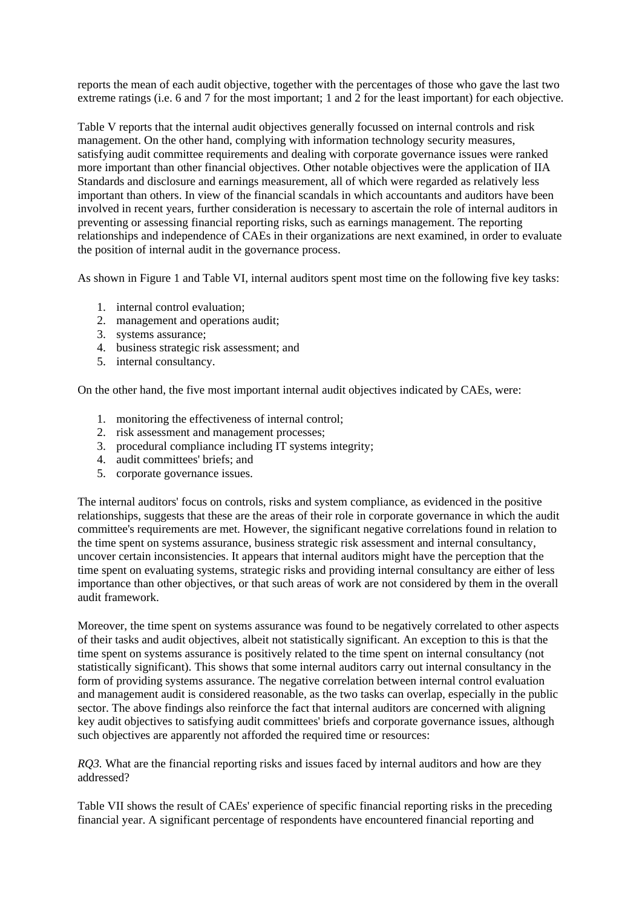reports the mean of each audit objective, together with the percentages of those who gave the last two extreme ratings (i.e. 6 and 7 for the most important; 1 and 2 for the least important) for each objective.

Table V reports that the internal audit objectives generally focussed on internal controls and risk management. On the other hand, complying with information technology security measures, satisfying audit committee requirements and dealing with corporate governance issues were ranked more important than other financial objectives. Other notable objectives were the application of IIA Standards and disclosure and earnings measurement, all of which were regarded as relatively less important than others. In view of the financial scandals in which accountants and auditors have been involved in recent years, further consideration is necessary to ascertain the role of internal auditors in preventing or assessing financial reporting risks, such as earnings management. The reporting relationships and independence of CAEs in their organizations are next examined, in order to evaluate the position of internal audit in the governance process.

As shown in Figure 1 and Table VI, internal auditors spent most time on the following five key tasks:

- 1. internal control evaluation;
- 2. management and operations audit;
- 3. systems assurance;
- 4. business strategic risk assessment; and
- 5. internal consultancy.

On the other hand, the five most important internal audit objectives indicated by CAEs, were:

- 1. monitoring the effectiveness of internal control;
- 2. risk assessment and management processes;
- 3. procedural compliance including IT systems integrity;
- 4. audit committees' briefs; and
- 5. corporate governance issues.

The internal auditors' focus on controls, risks and system compliance, as evidenced in the positive relationships, suggests that these are the areas of their role in corporate governance in which the audit committee's requirements are met. However, the significant negative correlations found in relation to the time spent on systems assurance, business strategic risk assessment and internal consultancy, uncover certain inconsistencies. It appears that internal auditors might have the perception that the time spent on evaluating systems, strategic risks and providing internal consultancy are either of less importance than other objectives, or that such areas of work are not considered by them in the overall audit framework.

Moreover, the time spent on systems assurance was found to be negatively correlated to other aspects of their tasks and audit objectives, albeit not statistically significant. An exception to this is that the time spent on systems assurance is positively related to the time spent on internal consultancy (not statistically significant). This shows that some internal auditors carry out internal consultancy in the form of providing systems assurance. The negative correlation between internal control evaluation and management audit is considered reasonable, as the two tasks can overlap, especially in the public sector. The above findings also reinforce the fact that internal auditors are concerned with aligning key audit objectives to satisfying audit committees' briefs and corporate governance issues, although such objectives are apparently not afforded the required time or resources:

*RQ3*. What are the financial reporting risks and issues faced by internal auditors and how are they addressed?

Table VII shows the result of CAEs' experience of specific financial reporting risks in the preceding financial year. A significant percentage of respondents have encountered financial reporting and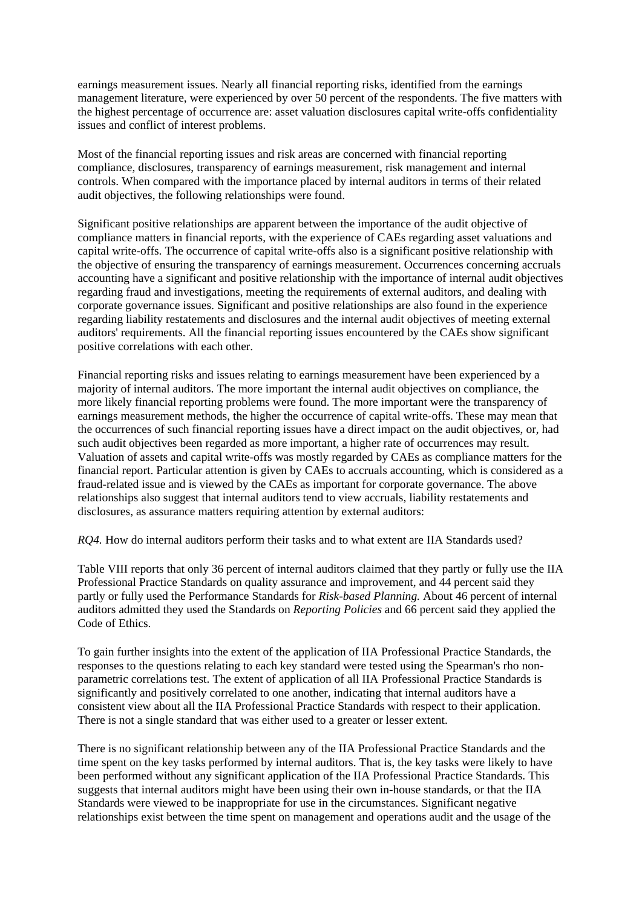earnings measurement issues. Nearly all financial reporting risks, identified from the earnings management literature, were experienced by over 50 percent of the respondents. The five matters with the highest percentage of occurrence are: asset valuation disclosures capital write-offs confidentiality issues and conflict of interest problems.

Most of the financial reporting issues and risk areas are concerned with financial reporting compliance, disclosures, transparency of earnings measurement, risk management and internal controls. When compared with the importance placed by internal auditors in terms of their related audit objectives, the following relationships were found.

Significant positive relationships are apparent between the importance of the audit objective of compliance matters in financial reports, with the experience of CAEs regarding asset valuations and capital write-offs. The occurrence of capital write-offs also is a significant positive relationship with the objective of ensuring the transparency of earnings measurement. Occurrences concerning accruals accounting have a significant and positive relationship with the importance of internal audit objectives regarding fraud and investigations, meeting the requirements of external auditors, and dealing with corporate governance issues. Significant and positive relationships are also found in the experience regarding liability restatements and disclosures and the internal audit objectives of meeting external auditors' requirements. All the financial reporting issues encountered by the CAEs show significant positive correlations with each other.

Financial reporting risks and issues relating to earnings measurement have been experienced by a majority of internal auditors. The more important the internal audit objectives on compliance, the more likely financial reporting problems were found. The more important were the transparency of earnings measurement methods, the higher the occurrence of capital write-offs. These may mean that the occurrences of such financial reporting issues have a direct impact on the audit objectives, or, had such audit objectives been regarded as more important, a higher rate of occurrences may result. Valuation of assets and capital write-offs was mostly regarded by CAEs as compliance matters for the financial report. Particular attention is given by CAEs to accruals accounting, which is considered as a fraud-related issue and is viewed by the CAEs as important for corporate governance. The above relationships also suggest that internal auditors tend to view accruals, liability restatements and disclosures, as assurance matters requiring attention by external auditors:

*RQ4.* How do internal auditors perform their tasks and to what extent are IIA Standards used?

Table VIII reports that only 36 percent of internal auditors claimed that they partly or fully use the IIA Professional Practice Standards on quality assurance and improvement, and 44 percent said they partly or fully used the Performance Standards for *Risk-based Planning.* About 46 percent of internal auditors admitted they used the Standards on *Reporting Policies* and 66 percent said they applied the Code of Ethics.

To gain further insights into the extent of the application of IIA Professional Practice Standards, the responses to the questions relating to each key standard were tested using the Spearman's rho nonparametric correlations test. The extent of application of all IIA Professional Practice Standards is significantly and positively correlated to one another, indicating that internal auditors have a consistent view about all the IIA Professional Practice Standards with respect to their application. There is not a single standard that was either used to a greater or lesser extent.

There is no significant relationship between any of the IIA Professional Practice Standards and the time spent on the key tasks performed by internal auditors. That is, the key tasks were likely to have been performed without any significant application of the IIA Professional Practice Standards. This suggests that internal auditors might have been using their own in-house standards, or that the IIA Standards were viewed to be inappropriate for use in the circumstances. Significant negative relationships exist between the time spent on management and operations audit and the usage of the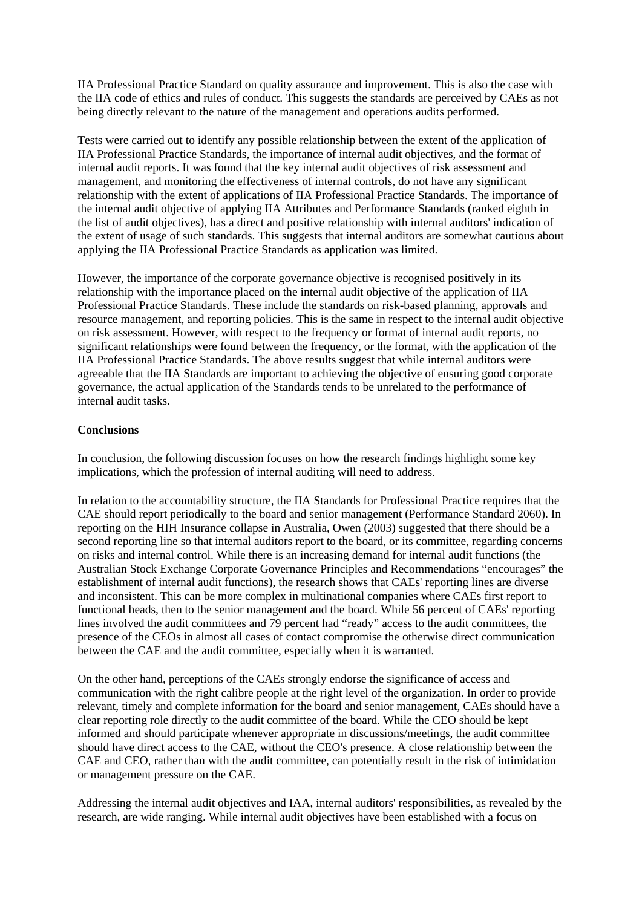IIA Professional Practice Standard on quality assurance and improvement. This is also the case with the IIA code of ethics and rules of conduct. This suggests the standards are perceived by CAEs as not being directly relevant to the nature of the management and operations audits performed.

Tests were carried out to identify any possible relationship between the extent of the application of IIA Professional Practice Standards, the importance of internal audit objectives, and the format of internal audit reports. It was found that the key internal audit objectives of risk assessment and management, and monitoring the effectiveness of internal controls, do not have any significant relationship with the extent of applications of IIA Professional Practice Standards. The importance of the internal audit objective of applying IIA Attributes and Performance Standards (ranked eighth in the list of audit objectives), has a direct and positive relationship with internal auditors' indication of the extent of usage of such standards. This suggests that internal auditors are somewhat cautious about applying the IIA Professional Practice Standards as application was limited.

However, the importance of the corporate governance objective is recognised positively in its relationship with the importance placed on the internal audit objective of the application of IIA Professional Practice Standards. These include the standards on risk-based planning, approvals and resource management, and reporting policies. This is the same in respect to the internal audit objective on risk assessment. However, with respect to the frequency or format of internal audit reports, no significant relationships were found between the frequency, or the format, with the application of the IIA Professional Practice Standards. The above results suggest that while internal auditors were agreeable that the IIA Standards are important to achieving the objective of ensuring good corporate governance, the actual application of the Standards tends to be unrelated to the performance of internal audit tasks.

#### **Conclusions**

In conclusion, the following discussion focuses on how the research findings highlight some key implications, which the profession of internal auditing will need to address.

In relation to the accountability structure, the IIA Standards for Professional Practice requires that the CAE should report periodically to the board and senior management (Performance Standard 2060). In reporting on the HIH Insurance collapse in Australia, Owen (2003) suggested that there should be a second reporting line so that internal auditors report to the board, or its committee, regarding concerns on risks and internal control. While there is an increasing demand for internal audit functions (the Australian Stock Exchange Corporate Governance Principles and Recommendations "encourages" the establishment of internal audit functions), the research shows that CAEs' reporting lines are diverse and inconsistent. This can be more complex in multinational companies where CAEs first report to functional heads, then to the senior management and the board. While 56 percent of CAEs' reporting lines involved the audit committees and 79 percent had "ready" access to the audit committees, the presence of the CEOs in almost all cases of contact compromise the otherwise direct communication between the CAE and the audit committee, especially when it is warranted.

On the other hand, perceptions of the CAEs strongly endorse the significance of access and communication with the right calibre people at the right level of the organization. In order to provide relevant, timely and complete information for the board and senior management, CAEs should have a clear reporting role directly to the audit committee of the board. While the CEO should be kept informed and should participate whenever appropriate in discussions/meetings, the audit committee should have direct access to the CAE, without the CEO's presence. A close relationship between the CAE and CEO, rather than with the audit committee, can potentially result in the risk of intimidation or management pressure on the CAE.

Addressing the internal audit objectives and IAA, internal auditors' responsibilities, as revealed by the research, are wide ranging. While internal audit objectives have been established with a focus on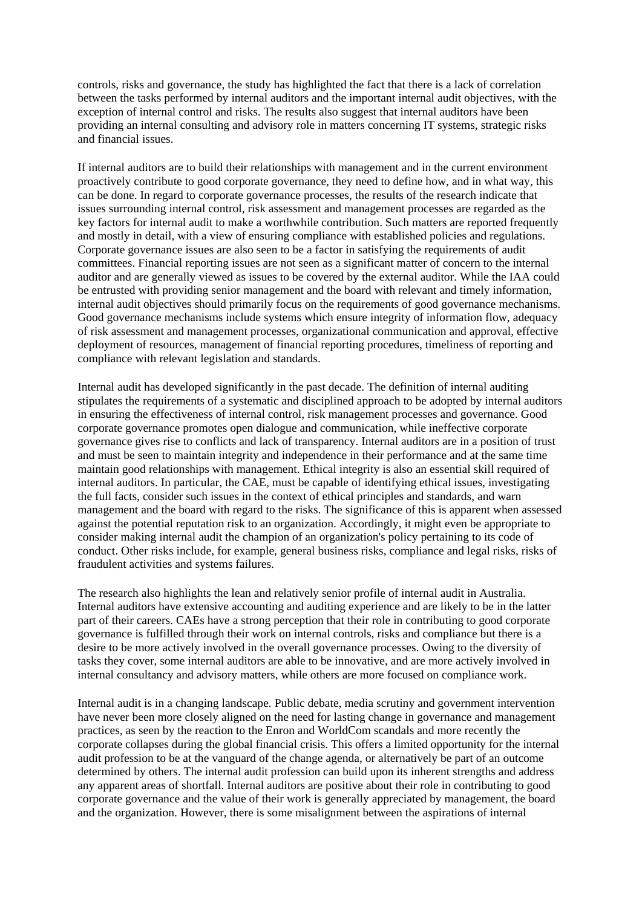controls, risks and governance, the study has highlighted the fact that there is a lack of correlation between the tasks performed by internal auditors and the important internal audit objectives, with the exception of internal control and risks. The results also suggest that internal auditors have been providing an internal consulting and advisory role in matters concerning IT systems, strategic risks and financial issues.

If internal auditors are to build their relationships with management and in the current environment proactively contribute to good corporate governance, they need to define how, and in what way, this can be done. In regard to corporate governance processes, the results of the research indicate that issues surrounding internal control, risk assessment and management processes are regarded as the key factors for internal audit to make a worthwhile contribution. Such matters are reported frequently and mostly in detail, with a view of ensuring compliance with established policies and regulations. Corporate governance issues are also seen to be a factor in satisfying the requirements of audit committees. Financial reporting issues are not seen as a significant matter of concern to the internal auditor and are generally viewed as issues to be covered by the external auditor. While the IAA could be entrusted with providing senior management and the board with relevant and timely information, internal audit objectives should primarily focus on the requirements of good governance mechanisms. Good governance mechanisms include systems which ensure integrity of information flow, adequacy of risk assessment and management processes, organizational communication and approval, effective deployment of resources, management of financial reporting procedures, timeliness of reporting and compliance with relevant legislation and standards.

Internal audit has developed significantly in the past decade. The definition of internal auditing stipulates the requirements of a systematic and disciplined approach to be adopted by internal auditors in ensuring the effectiveness of internal control, risk management processes and governance. Good corporate governance promotes open dialogue and communication, while ineffective corporate governance gives rise to conflicts and lack of transparency. Internal auditors are in a position of trust and must be seen to maintain integrity and independence in their performance and at the same time maintain good relationships with management. Ethical integrity is also an essential skill required of internal auditors. In particular, the CAE, must be capable of identifying ethical issues, investigating the full facts, consider such issues in the context of ethical principles and standards, and warn management and the board with regard to the risks. The significance of this is apparent when assessed against the potential reputation risk to an organization. Accordingly, it might even be appropriate to consider making internal audit the champion of an organization's policy pertaining to its code of conduct. Other risks include, for example, general business risks, compliance and legal risks, risks of fraudulent activities and systems failures.

The research also highlights the lean and relatively senior profile of internal audit in Australia. Internal auditors have extensive accounting and auditing experience and are likely to be in the latter part of their careers. CAEs have a strong perception that their role in contributing to good corporate governance is fulfilled through their work on internal controls, risks and compliance but there is a desire to be more actively involved in the overall governance processes. Owing to the diversity of tasks they cover, some internal auditors are able to be innovative, and are more actively involved in internal consultancy and advisory matters, while others are more focused on compliance work.

Internal audit is in a changing landscape. Public debate, media scrutiny and government intervention have never been more closely aligned on the need for lasting change in governance and management practices, as seen by the reaction to the Enron and WorldCom scandals and more recently the corporate collapses during the global financial crisis. This offers a limited opportunity for the internal audit profession to be at the vanguard of the change agenda, or alternatively be part of an outcome determined by others. The internal audit profession can build upon its inherent strengths and address any apparent areas of shortfall. Internal auditors are positive about their role in contributing to good corporate governance and the value of their work is generally appreciated by management, the board and the organization. However, there is some misalignment between the aspirations of internal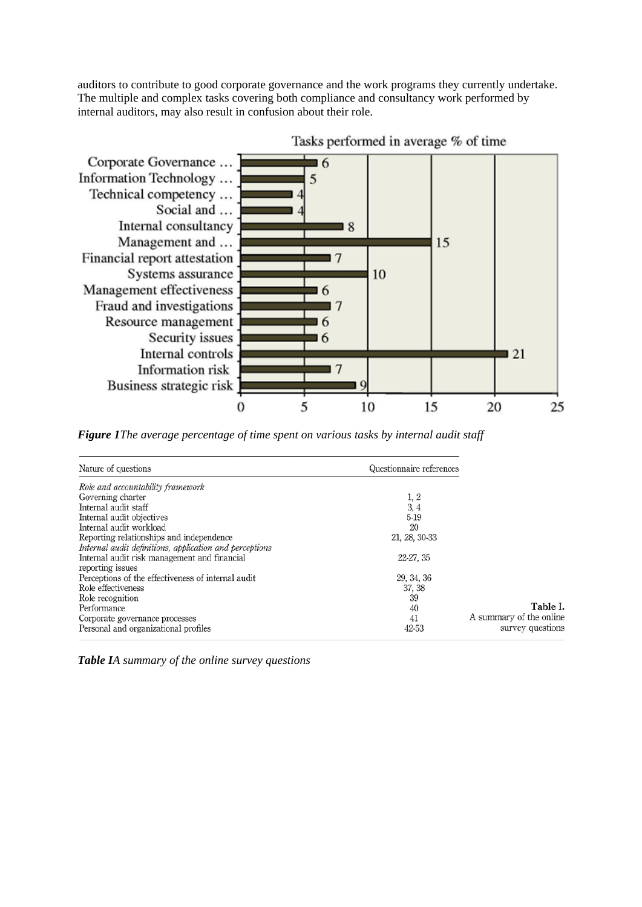auditors to contribute to good corporate governance and the work programs they currently undertake. The multiple and complex tasks covering both compliance and consultancy work performed by internal auditors, may also result in confusion about their role.



Tasks performed in average % of time

*Figure 1The average percentage of time spent on various tasks by internal audit staff*

| Nature of questions                                     | Questionnaire references |                         |
|---------------------------------------------------------|--------------------------|-------------------------|
| Role and accountability framework                       |                          |                         |
| Governing charter                                       | 1, 2                     |                         |
| Internal audit staff                                    | 3, 4                     |                         |
| Internal audit objectives                               | 5-19                     |                         |
| Internal audit workload                                 | 20                       |                         |
| Reporting relationships and independence                | 21, 28, 30-33            |                         |
| Internal audit definitions, application and perceptions |                          |                         |
| Internal audit risk management and financial            | 22-27, 35                |                         |
| reporting issues                                        |                          |                         |
| Perceptions of the effectiveness of internal audit      | 29, 34, 36               |                         |
| Role effectiveness                                      | 37, 38                   |                         |
| Role recognition                                        | 39                       |                         |
| Performance                                             | 40                       | Table I.                |
| Corporate governance processes                          | 41                       | A summary of the online |
| Personal and organizational profiles                    | 42-53                    | survey questions        |

*Table IA summary of the online survey questions*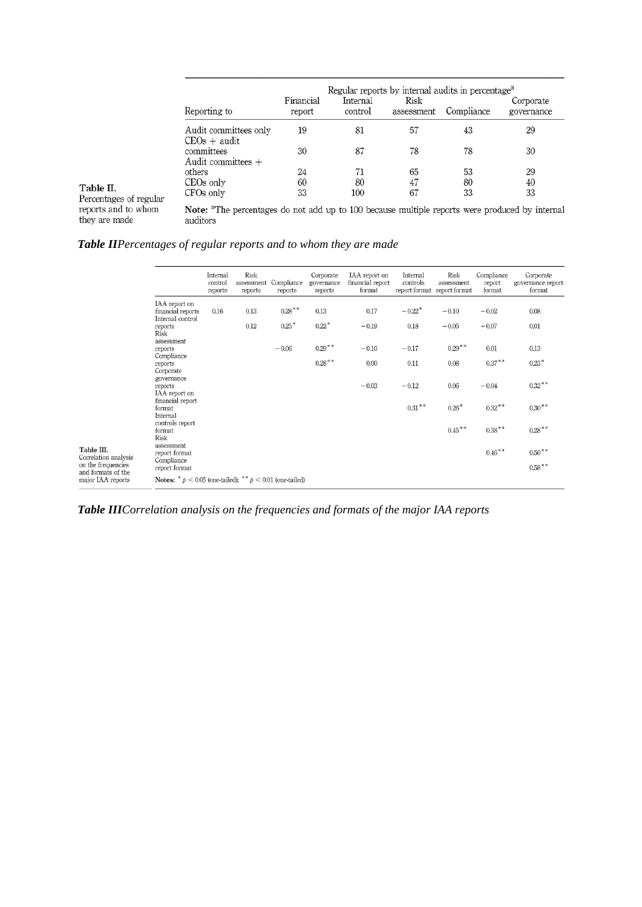|                                                                             | Reporting to                                                                                                                  | Financial<br>report | Regular reports by internal audits in percentage <sup>a</sup><br>Internal<br>control | Risk<br>assessment | Compliance | Corporate<br>governance |
|-----------------------------------------------------------------------------|-------------------------------------------------------------------------------------------------------------------------------|---------------------|--------------------------------------------------------------------------------------|--------------------|------------|-------------------------|
|                                                                             | Audit committees only<br>$CEOs + audit$                                                                                       | 19                  | 81                                                                                   | 57                 | 43         | 29                      |
|                                                                             | committees<br>Audit committees $+$                                                                                            | 30                  | 87                                                                                   | 78                 | 78         | 30                      |
|                                                                             | others                                                                                                                        | 24                  | 71                                                                                   | 65                 | 53         | 29                      |
| Table II.<br>Percentages of regular<br>reports and to whom<br>they are made | CEOs only                                                                                                                     | 60                  | 80                                                                                   | 47                 | 80         | 40                      |
|                                                                             | CFO <sub>s</sub> only                                                                                                         | 33                  | 100                                                                                  | 67                 | 33         | 33                      |
|                                                                             | <b>Note:</b> <sup>a</sup> The percentages do not add up to 100 because multiple reports were produced by internal<br>auditors |                     |                                                                                      |                    |            |                         |

*Table IIPercentages of regular reports and to whom they are made*

|                                                                                |                                                                                         | Internal<br>control<br>reports | Risk<br>assessment<br>reports | Compliance<br>reports | Corporate<br>governance<br>reports | IAA report on<br>financial report<br>format | Internal<br>controls<br>report format report format | Risk<br>assessment   | Compliance<br>report<br>format | Corporate<br>governance report<br>format |
|--------------------------------------------------------------------------------|-----------------------------------------------------------------------------------------|--------------------------------|-------------------------------|-----------------------|------------------------------------|---------------------------------------------|-----------------------------------------------------|----------------------|--------------------------------|------------------------------------------|
|                                                                                | IAA report on<br>financial reports<br>Internal control<br>reports<br>Risk               | 0.16                           | 0.13<br>0.12                  | $0.28**$<br>$0.25*$   | 0.13<br>$0.22*$                    | 0.17<br>$-0.19$                             | $-0.22*$<br>0.18                                    | $-0.10$<br>$-0.05$   | $-0.02$<br>$-0.07$             | 0.08<br>0.01                             |
|                                                                                | assessment<br>reports<br>Compliance<br>reports<br>Corporate                             |                                |                               | $-0.06$               | $0.29**$<br>$0.28**$               | $-0.10$<br>0.00                             | $-0.17$<br>0.11                                     | $0.29***$<br>0.08    | 0.01<br>$0.37**$               | 0.13<br>$0.23*$                          |
|                                                                                | governance<br>reports<br>IAA report on<br>financial report                              |                                |                               |                       |                                    | $-0.03$                                     | $-0.12$                                             | 0.06                 | $-0.04$                        | $0.32**$                                 |
|                                                                                | format<br>Internal<br>controls report<br>format<br>Risk                                 |                                |                               |                       |                                    |                                             | $0.31***$                                           | $0.26*$<br>$0.45***$ | $0.32**$<br>$0.38***$          | $0.30**$<br>$0.28***$                    |
| Table III.<br>Correlation analysis<br>on the frequencies<br>and formats of the | assessment<br>report format<br>Compliance<br>report format                              |                                |                               |                       |                                    |                                             |                                                     |                      | $0.46**$                       | $0.50**$<br>$0.58***$                    |
| major IAA reports                                                              | <b>Notes:</b> $\ast$ $\phi$ < 0.05 (one-tailed); $\ast \ast$ $\phi$ < 0.01 (one-tailed) |                                |                               |                       |                                    |                                             |                                                     |                      |                                |                                          |

*Table IIICorrelation analysis on the frequencies and formats of the major IAA reports*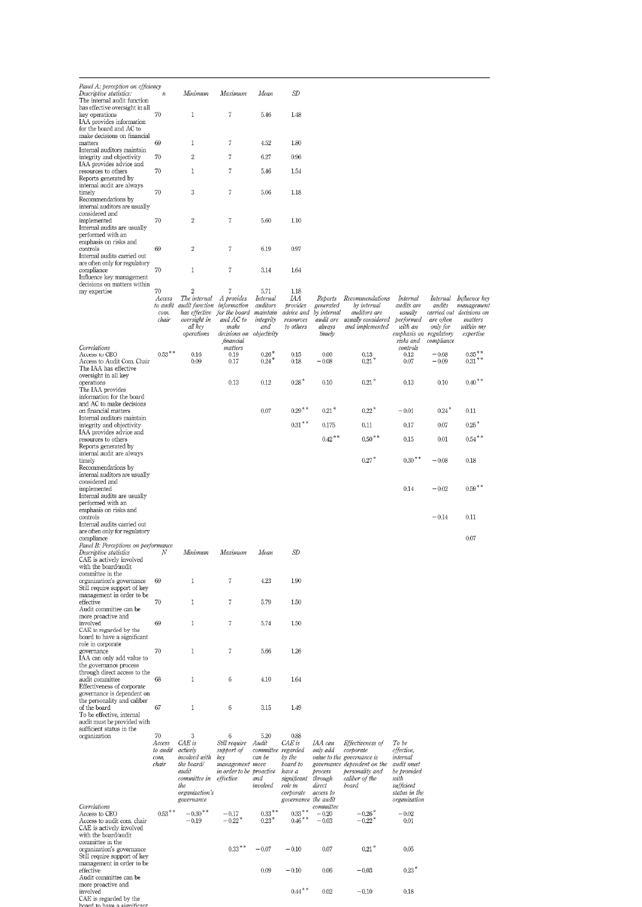| Panel A: perception on efficiency<br>Descriptive statistics:<br>The internal audit function                                     | $\boldsymbol{n}$                          | Minimum                                                                                                                | Maximum                                                                                             | Mean                                                                | SD                                                                                                                    |                                                                      |                                                                                                                                          |                                                                                                                     |                                             |                                                                                              |
|---------------------------------------------------------------------------------------------------------------------------------|-------------------------------------------|------------------------------------------------------------------------------------------------------------------------|-----------------------------------------------------------------------------------------------------|---------------------------------------------------------------------|-----------------------------------------------------------------------------------------------------------------------|----------------------------------------------------------------------|------------------------------------------------------------------------------------------------------------------------------------------|---------------------------------------------------------------------------------------------------------------------|---------------------------------------------|----------------------------------------------------------------------------------------------|
| has effective oversight in all<br>key operations<br>IAA provides information<br>for the board and AC to                         | 70                                        | 1                                                                                                                      | $\overline{7}$                                                                                      | 5.46                                                                | 1.48                                                                                                                  |                                                                      |                                                                                                                                          |                                                                                                                     |                                             |                                                                                              |
| make decisions on financial<br>matters                                                                                          | 69                                        | 1                                                                                                                      | $\overline{7}$                                                                                      | 4.52                                                                | 1.80                                                                                                                  |                                                                      |                                                                                                                                          |                                                                                                                     |                                             |                                                                                              |
| Internal auditors maintain<br>integrity and objectivity                                                                         | 70                                        | $\sqrt{2}$                                                                                                             | $\scriptstyle{7}$                                                                                   | 6.27                                                                | 0.96                                                                                                                  |                                                                      |                                                                                                                                          |                                                                                                                     |                                             |                                                                                              |
| IAA provides advice and<br>resources to others                                                                                  | 70                                        | 1                                                                                                                      | $\overline{7}$                                                                                      | 5.46                                                                | 1.54                                                                                                                  |                                                                      |                                                                                                                                          |                                                                                                                     |                                             |                                                                                              |
| Reports generated by<br>internal audit are always                                                                               |                                           |                                                                                                                        |                                                                                                     |                                                                     |                                                                                                                       |                                                                      |                                                                                                                                          |                                                                                                                     |                                             |                                                                                              |
| timely<br>Recommendations by<br>internal auditors are usually                                                                   | 70                                        | 3                                                                                                                      | $\overline{7}$                                                                                      | 5.06                                                                | 1.18                                                                                                                  |                                                                      |                                                                                                                                          |                                                                                                                     |                                             |                                                                                              |
| considered and<br>implemented<br>Internal audits are usually<br>performed with an                                               | 70                                        | $\,2$                                                                                                                  | $\scriptstyle{7}$                                                                                   | 5.60                                                                | 1.10                                                                                                                  |                                                                      |                                                                                                                                          |                                                                                                                     |                                             |                                                                                              |
| emphasis on risks and<br>controls<br>Internal audits carried out<br>are often only for regulatory                               | 69                                        | $\sqrt{2}$                                                                                                             | $\overline{7}$                                                                                      | 6.19                                                                | 0.97                                                                                                                  |                                                                      |                                                                                                                                          |                                                                                                                     |                                             |                                                                                              |
| compliance<br>Influence key management                                                                                          | 70                                        | 1                                                                                                                      | $\overline{7}$                                                                                      | 3.14                                                                | 1.64                                                                                                                  |                                                                      |                                                                                                                                          |                                                                                                                     |                                             |                                                                                              |
| decisions on matters within<br>my expertise                                                                                     | 70                                        | $\overline{2}$                                                                                                         | 7                                                                                                   | 5.71                                                                | 1.18                                                                                                                  |                                                                      |                                                                                                                                          |                                                                                                                     |                                             |                                                                                              |
|                                                                                                                                 | Access<br>to audit<br>com.<br>chair       | The internal<br>audit function<br>has effective<br>oversight in<br>all key<br>operations                               | A provides<br>information<br>for the board<br>and AC to<br>make<br>decisions on                     | Internal<br>auditors<br>maintain<br>integrity<br>and<br>objectivity | IAA<br>provides<br>advice and<br>resources<br>to others                                                               | Reports<br>generated<br>by internal<br>audit are<br>always<br>timely | Recommendations<br>by internal<br>auditors are<br>usually considered<br>and implemented                                                  | Internal<br>audits are<br>usually<br>performed<br>with an<br>emphasis on regulatory                                 | Internal<br>audits<br>are often<br>only for | Influence key<br>management<br>carried out decisions on<br>matters<br>within my<br>expertise |
| Correlations                                                                                                                    |                                           |                                                                                                                        | financial<br>matters                                                                                |                                                                     |                                                                                                                       |                                                                      |                                                                                                                                          | risks and<br>controls                                                                                               | compliance                                  |                                                                                              |
| Access to CEO<br>Access to Audit Com. Chair<br>The IAA has effective                                                            | $0.53***$                                 | 0.16<br>0.09                                                                                                           | 0.19<br>0.17                                                                                        | $0.26*$<br>0.24                                                     | 0.15<br>0.18                                                                                                          | 0.00<br>$-0.08$                                                      | 0.13<br>$0.21*$                                                                                                                          | 0.12<br>0.07                                                                                                        | $-0.08$<br>$-0.09$                          | $0.35$ $^{\ast}$ $^{\ast}$<br>$0.31$ $^{\ast\,*}$                                            |
| oversight in all key<br>operations<br>The IAA provides<br>information for the board                                             |                                           |                                                                                                                        | 0.13                                                                                                | 0.12                                                                | $0.28*$                                                                                                               | 0.10                                                                 | $0.21*$                                                                                                                                  | 0.13                                                                                                                | 0.10                                        | $0.40**$                                                                                     |
| and AC to make decisions<br>on financial matters                                                                                |                                           |                                                                                                                        |                                                                                                     | 0.07                                                                | $0.29**$                                                                                                              | $0.21$ $*$                                                           | $0.22*$                                                                                                                                  | $-0.01$                                                                                                             | $0.24*$                                     | 0.11                                                                                         |
| Internal auditors maintain<br>integrity and objectivity                                                                         |                                           |                                                                                                                        |                                                                                                     |                                                                     | $0.31***$                                                                                                             | 0.175                                                                | 0.11                                                                                                                                     | 0.17                                                                                                                | 0.07                                        | 0.25                                                                                         |
| IAA provides advice and<br>resources to others                                                                                  |                                           |                                                                                                                        |                                                                                                     |                                                                     |                                                                                                                       | $0.42***$                                                            | $0.50**$                                                                                                                                 | 0.15                                                                                                                | 0.01                                        | $0.54$ **                                                                                    |
| Reports generated by<br>internal audit are always<br>timely                                                                     |                                           |                                                                                                                        |                                                                                                     |                                                                     |                                                                                                                       |                                                                      | $0.27*$                                                                                                                                  | $0.30**$                                                                                                            | $-0.08$                                     | 0.18                                                                                         |
| Recommendations by<br>internal auditors are usually<br>considered and<br>implemented                                            |                                           |                                                                                                                        |                                                                                                     |                                                                     |                                                                                                                       |                                                                      |                                                                                                                                          | 0.14                                                                                                                | $-0.02$                                     | $0.59**$                                                                                     |
| Internal audits are usually<br>performed with an<br>emphasis on risks and                                                       |                                           |                                                                                                                        |                                                                                                     |                                                                     |                                                                                                                       |                                                                      |                                                                                                                                          |                                                                                                                     |                                             |                                                                                              |
| controls<br>Internal audits carried out<br>are often only for regulatory                                                        |                                           |                                                                                                                        |                                                                                                     |                                                                     |                                                                                                                       |                                                                      |                                                                                                                                          |                                                                                                                     | $-0.14$                                     | 0.11                                                                                         |
| compliance<br>Panel B: Perceptions on performance<br>Descriptive statistics<br>CAE is actively involved<br>with the board/audit | Ν                                         | Minimum                                                                                                                | Maximum                                                                                             | Mean                                                                | SD                                                                                                                    |                                                                      |                                                                                                                                          |                                                                                                                     |                                             | 0.07                                                                                         |
| committee in the<br>organization's governance<br>Still require support of key                                                   | 69                                        | 1                                                                                                                      | 7                                                                                                   | 4.23                                                                | 1.90                                                                                                                  |                                                                      |                                                                                                                                          |                                                                                                                     |                                             |                                                                                              |
| management in order to be<br>effective<br>Audit committee can be<br>more proactive and                                          | 70                                        | 1                                                                                                                      | $\overline{7}$                                                                                      | 5.79                                                                | 1.50                                                                                                                  |                                                                      |                                                                                                                                          |                                                                                                                     |                                             |                                                                                              |
| involved<br>CAE is regarded by the<br>board to have a significant                                                               | 69                                        | 1                                                                                                                      | $\scriptstyle{7}$                                                                                   | 5.74                                                                | 1.50                                                                                                                  |                                                                      |                                                                                                                                          |                                                                                                                     |                                             |                                                                                              |
| role in corporate<br>governance<br>IAA can only add value to                                                                    | 70                                        | 1                                                                                                                      | $\overline{7}$                                                                                      | 5.66                                                                | 1.26                                                                                                                  |                                                                      |                                                                                                                                          |                                                                                                                     |                                             |                                                                                              |
| the governance process<br>through direct access to the<br>audit committee                                                       | 68                                        | 1                                                                                                                      | 6                                                                                                   | 4.10                                                                | 1.64                                                                                                                  |                                                                      |                                                                                                                                          |                                                                                                                     |                                             |                                                                                              |
| Effectiveness of corporate<br>governance is dependent on                                                                        |                                           |                                                                                                                        |                                                                                                     |                                                                     |                                                                                                                       |                                                                      |                                                                                                                                          |                                                                                                                     |                                             |                                                                                              |
| the personality and caliber<br>of the board<br>To be effective, internal<br>audit must be provided with                         | 67                                        | 1                                                                                                                      | 6                                                                                                   | 3.15                                                                | 1.49                                                                                                                  |                                                                      |                                                                                                                                          |                                                                                                                     |                                             |                                                                                              |
| sufficient status in the<br>organization                                                                                        | 70<br>Access<br>to audit<br>com.<br>chair | 3<br>CAE is<br>actively<br>involved with<br>the board/<br>audit<br>committee in<br>the<br>organization's<br>governance | 6<br>Still require<br>support of<br>key<br>management more<br>in order to be proactive<br>effective | 5.20<br>Audit<br>committee regarded<br>can be<br>and<br>involved    | 0.88<br>CAE is<br>by the<br>board to<br>have a<br>significant through<br>role in<br>corporate<br>governance the audit | IAA can<br>only add<br>process<br>direct<br>access to                | Effectiveness of<br>corporate<br>value to the governance is<br>governance dependent on the<br>personality and<br>caliber of the<br>board | To be<br>effective,<br>internal<br>audit must<br>be provided<br>with<br>sufficient<br>status in the<br>organization |                                             |                                                                                              |
| Correlations<br>Access to CEO<br>Access to audit com. chair<br>CAE is actively involved                                         | $0.53***$                                 | $-0.30**$<br>$-0.19$                                                                                                   | $-0.17$<br>$-0.22$ <sup>*</sup>                                                                     | $0.33***$<br>$0.23*$                                                | $0.33***$<br>$0.46**$                                                                                                 | committee<br>$-0.20$<br>$-0.03$                                      | $-0.26$ <sup>*</sup><br>$-0.22$ <sup>*</sup>                                                                                             | $-0.02$<br>0.01                                                                                                     |                                             |                                                                                              |
| with the board/audit<br>committee in the<br>organization's governance                                                           |                                           |                                                                                                                        | $0.33*$                                                                                             | $-0.07$                                                             | $-0.10$                                                                                                               | 0.07                                                                 | $0.21*$                                                                                                                                  | 0.05                                                                                                                |                                             |                                                                                              |
| Still require support of key<br>management in order to be<br>effective                                                          |                                           |                                                                                                                        |                                                                                                     | 0.09                                                                | $-0.10$                                                                                                               | 0.06                                                                 | $-0.03$                                                                                                                                  | $0.23*$                                                                                                             |                                             |                                                                                              |
| Audit committee can be<br>more proactive and<br>involved<br>CAE is regarded by the                                              |                                           |                                                                                                                        |                                                                                                     |                                                                     | $0.44$ **                                                                                                             | 0.02                                                                 | $-0.10$                                                                                                                                  | 0.18                                                                                                                |                                             |                                                                                              |
| hoard to have a cirmificant                                                                                                     |                                           |                                                                                                                        |                                                                                                     |                                                                     |                                                                                                                       |                                                                      |                                                                                                                                          |                                                                                                                     |                                             |                                                                                              |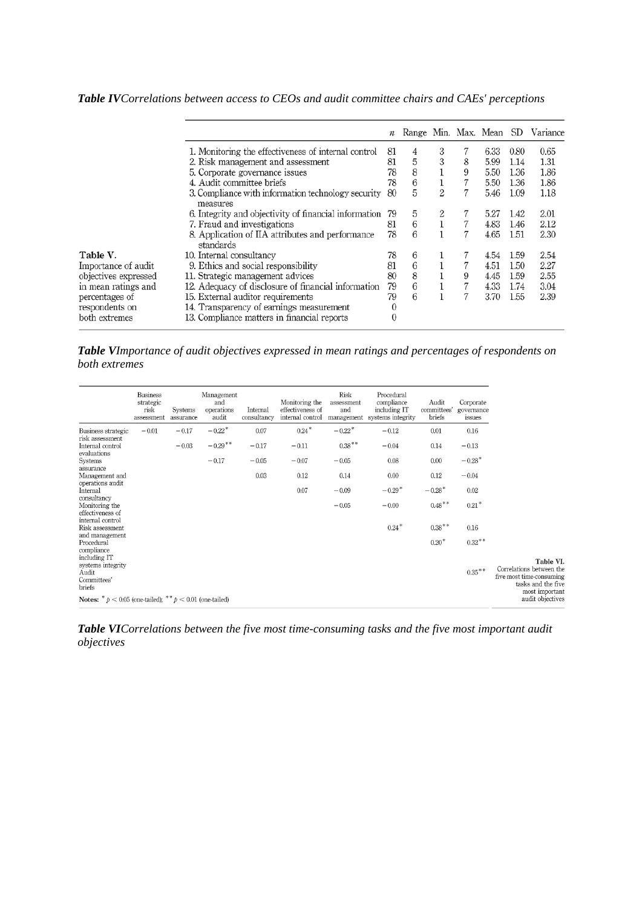*Table IVCorrelations between access to CEOs and audit committee chairs and CAEs' perceptions*

|                      |                                                                | п  | Range Min. Max. Mean SD |                |   |      |      | Variance |
|----------------------|----------------------------------------------------------------|----|-------------------------|----------------|---|------|------|----------|
|                      | 1. Monitoring the effectiveness of internal control            | 81 | 4                       | 3              |   | 6.33 | 0.80 | 0.65     |
|                      | 2. Risk management and assessment                              | 81 | 5                       | 3              | 8 | 5.99 | 1.14 | 1.31     |
|                      | 5. Corporate governance issues                                 | 78 | 8                       |                | 9 | 5.50 | 1.36 | 1.86     |
|                      | 4. Audit committee briefs                                      | 78 | 6                       |                |   | 5.50 | 1.36 | 1.86     |
|                      | 3. Compliance with information technology security<br>measures | 80 | 5                       | $\overline{2}$ |   | 5.46 | 1.09 | 1.18     |
|                      | 6. Integrity and objectivity of financial information          | 79 | 5                       | 2              |   | 5.27 | 1.42 | 2.01     |
|                      | 7. Fraud and investigations                                    | 81 | 6                       |                |   | 4.83 | 1.46 | 2.12     |
|                      | 8. Application of IIA attributes and performance<br>standards  | 78 | 6                       |                |   | 4.65 | 1.51 | 2.30     |
| Table V.             | 10. Internal consultancy                                       | 78 | 6                       |                |   | 4.54 | 1.59 | 2.54     |
| Importance of audit  | 9. Ethics and social responsibility                            | 81 | 6                       |                |   | 4.51 | 1.50 | 2.27     |
| objectives expressed | 11. Strategic management advices                               | 80 | 8                       |                | 9 | 4.45 | 1.59 | 2.55     |
| in mean ratings and  | 12. Adequacy of disclosure of financial information            | 79 | 6                       |                |   | 4.33 | 1.74 | 3.04     |
| percentages of       | 15. External auditor requirements                              | 79 | 6                       |                |   | 3.70 | 1.55 | 2.39     |
| respondents on       | 14. Transparency of earnings measurement                       | 0  |                         |                |   |      |      |          |
| both extremes        | 13. Compliance matters in financial reports                    | 0  |                         |                |   |      |      |          |

*Table VImportance of audit objectives expressed in mean ratings and percentages of respondents on both extremes*

|                                                                     | <b>Business</b><br>strategic<br>risk<br>assessment | <b>Systems</b><br>assurance | Management<br>and<br>operations<br>audit | Internal<br>consultancy | Monitoring the<br>effectiveness of<br>internal control | Risk<br>assessment<br>and<br>management | Procedural<br>compliance<br>including IT<br>systems integrity | Audit<br>committees'<br>briefs | Corporate<br>governance<br>issues |                                                                                                           |
|---------------------------------------------------------------------|----------------------------------------------------|-----------------------------|------------------------------------------|-------------------------|--------------------------------------------------------|-----------------------------------------|---------------------------------------------------------------|--------------------------------|-----------------------------------|-----------------------------------------------------------------------------------------------------------|
| Business strategic                                                  | $-0.01$                                            | $-0.17$                     | $-0.22*$                                 | 0.07                    | $0.24*$                                                | $-0.22*$                                | $-0.12$                                                       | 0.01                           | 0.16                              |                                                                                                           |
| risk assessment<br>Internal control<br>evaluations                  |                                                    | $-0.03$                     | $-0.29**$                                | $-0.17$                 | $-0.11$                                                | $0.38***$                               | $-0.04$                                                       | 0.14                           | $-0.13$                           |                                                                                                           |
| Systems                                                             |                                                    |                             | $-0.17$                                  | $-0.05$                 | $-0.07$                                                | $-0.05$                                 | 0.08                                                          | 0.00                           | $-0.28*$                          |                                                                                                           |
| assurance<br>Management and                                         |                                                    |                             |                                          | 0.03                    | 0.12                                                   | 0.14                                    | 0.00                                                          | 0.12                           | $-0.04$                           |                                                                                                           |
| operations audit<br>Internal                                        |                                                    |                             |                                          |                         | 0.07                                                   | $-0.09$                                 | $-0.29*$                                                      | $-0.28*$                       | 0.02                              |                                                                                                           |
| consultancy<br>Monitoring the<br>effectiveness of                   |                                                    |                             |                                          |                         |                                                        | $-0.05$                                 | $-0.00$                                                       | $0.48**$                       | $0.21*$                           |                                                                                                           |
| internal control<br>Risk assessment                                 |                                                    |                             |                                          |                         |                                                        |                                         | $0.24*$                                                       | $0.38**$                       | 0.16                              |                                                                                                           |
| and management<br>Procedural<br>compliance                          |                                                    |                             |                                          |                         |                                                        |                                         |                                                               | $0.20*$                        | $0.32**$                          |                                                                                                           |
| including IT<br>systems integrity<br>Audit<br>Committees'<br>briefs |                                                    |                             |                                          |                         |                                                        |                                         |                                                               |                                | $0.35***$                         | Table VI.<br>Correlations between the<br>five most time-consuming<br>tasks and the five<br>most important |
| <b>Notes:</b> $p < 0.05$ (one-tailed); $p * p < 0.01$ (one-tailed)  |                                                    |                             |                                          |                         |                                                        |                                         |                                                               |                                |                                   | audit objectives                                                                                          |

*Table VICorrelations between the five most time-consuming tasks and the five most important audit objectives*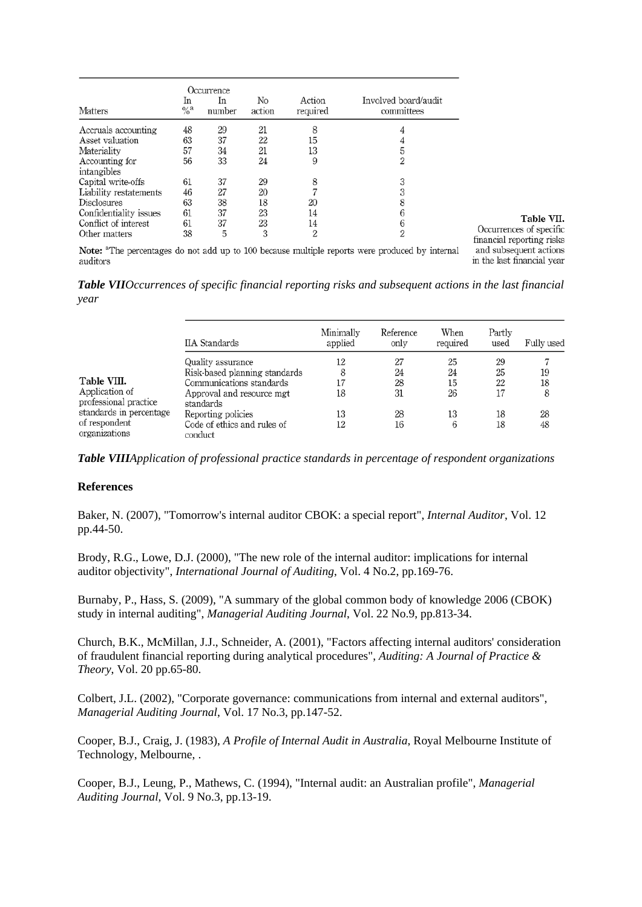| Matters                       | In<br>$\%^a$ | Occurrence<br>In<br>number | No<br>action | Action<br>required | Involved board/audit<br>committees |    |
|-------------------------------|--------------|----------------------------|--------------|--------------------|------------------------------------|----|
| Accruals accounting           | 48           | 29                         | 21           | 8                  |                                    |    |
| Asset valuation               | 63           | 37                         | 22           | 15                 | 4                                  |    |
| Materiality                   | 57           | 34                         | 21           | 13                 | 5                                  |    |
| Accounting for<br>intangibles | 56           | 33                         | 24           | 9                  | 2                                  |    |
| Capital write-offs            | 61           | 37                         | 29           | 8                  | 3                                  |    |
| Liability restatements        | 46           | 27                         | 20           |                    | 3                                  |    |
| <b>Disclosures</b>            | 63           | 38                         | 18           | 20                 | 8                                  |    |
| Confidentiality issues        | 61           | 37                         | 23           | 14                 | 6                                  |    |
| Conflict of interest          | 61           | 37                         | 23           | 14                 | 6                                  |    |
| Other matters                 | 38           | 5                          | 3            | 2                  | 2                                  | fı |

Table VII. Occurrences of specific financial reporting risks and subsequent actions in the last financial year

Note: <sup>a</sup>The percentages do not add up to 100 because multiple reports were produced by internal auditors

*Table VIIOccurrences of specific financial reporting risks and subsequent actions in the last financial year*

|                                         | <b>IIA Standards</b>                   | Minimally<br>applied | Reference<br>only | When<br>required | Partly<br>used | Fully used |
|-----------------------------------------|----------------------------------------|----------------------|-------------------|------------------|----------------|------------|
|                                         | Quality assurance                      | 12                   | 27                | 25               | 29             |            |
|                                         | Risk-based planning standards          | 8                    | 24                | 24               | 25             | 19         |
| Table VIII.                             | Communications standards               | 17                   | 28                | 15               | 22             | 18         |
| Application of<br>professional practice | Approval and resource mgt<br>standards | 18                   | 31                | 26               |                | 8          |
| standards in percentage                 | Reporting policies                     | 13                   | 28                | 13               | 18             | 28         |
| of respondent<br>organizations          | Code of ethics and rules of<br>conduct | 12                   | 16                | 6                | 18             | 48         |

*Table VIIIApplication of professional practice standards in percentage of respondent organizations*

#### **References**

Baker, N. (2007), "Tomorrow's internal auditor CBOK: a special report", *Internal Auditor*, Vol. 12 pp.44-50.

Brody, R.G., Lowe, D.J. (2000), "The new role of the internal auditor: implications for internal auditor objectivity", *International Journal of Auditing*, Vol. 4 No.2, pp.169-76.

Burnaby, P., Hass, S. (2009), "A summary of the global common body of knowledge 2006 (CBOK) study in internal auditing", *Managerial Auditing Journal*, Vol. 22 No.9, pp.813-34.

Church, B.K., McMillan, J.J., Schneider, A. (2001), "Factors affecting internal auditors' consideration of fraudulent financial reporting during analytical procedures", *Auditing: A Journal of Practice & Theory*, Vol. 20 pp.65-80.

Colbert, J.L. (2002), "Corporate governance: communications from internal and external auditors", *Managerial Auditing Journal*, Vol. 17 No.3, pp.147-52.

Cooper, B.J., Craig, J. (1983), *A Profile of Internal Audit in Australia*, Royal Melbourne Institute of Technology, Melbourne, .

Cooper, B.J., Leung, P., Mathews, C. (1994), "Internal audit: an Australian profile", *Managerial Auditing Journal*, Vol. 9 No.3, pp.13-19.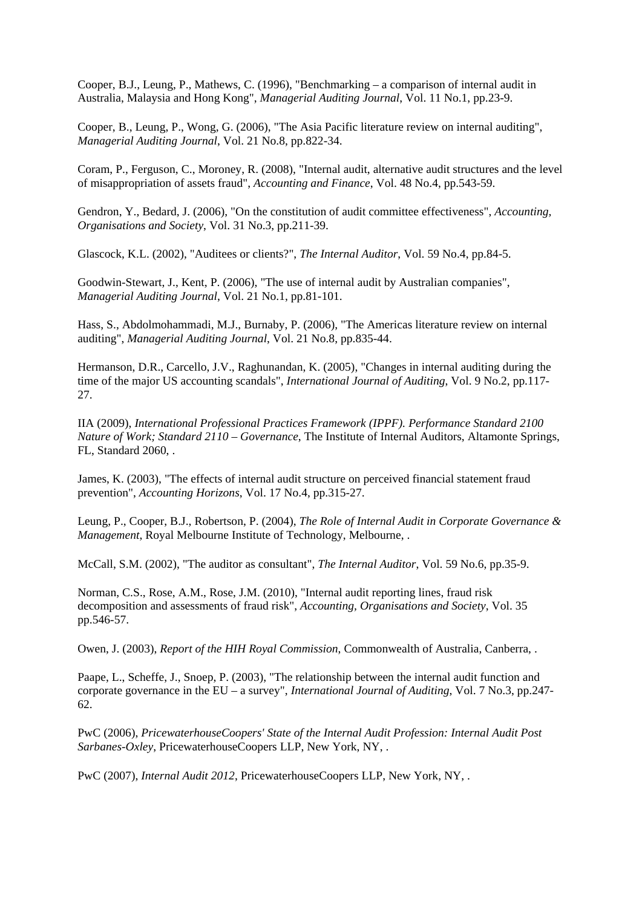Cooper, B.J., Leung, P., Mathews, C. (1996), "Benchmarking – a comparison of internal audit in Australia, Malaysia and Hong Kong", *Managerial Auditing Journal*, Vol. 11 No.1, pp.23-9.

Cooper, B., Leung, P., Wong, G. (2006), "The Asia Pacific literature review on internal auditing", *Managerial Auditing Journal*, Vol. 21 No.8, pp.822-34.

Coram, P., Ferguson, C., Moroney, R. (2008), "Internal audit, alternative audit structures and the level of misappropriation of assets fraud", *Accounting and Finance*, Vol. 48 No.4, pp.543-59.

Gendron, Y., Bedard, J. (2006), "On the constitution of audit committee effectiveness", *Accounting, Organisations and Society*, Vol. 31 No.3, pp.211-39.

Glascock, K.L. (2002), "Auditees or clients?", *The Internal Auditor*, Vol. 59 No.4, pp.84-5.

Goodwin-Stewart, J., Kent, P. (2006), "The use of internal audit by Australian companies", *Managerial Auditing Journal*, Vol. 21 No.1, pp.81-101.

Hass, S., Abdolmohammadi, M.J., Burnaby, P. (2006), "The Americas literature review on internal auditing", *Managerial Auditing Journal*, Vol. 21 No.8, pp.835-44.

Hermanson, D.R., Carcello, J.V., Raghunandan, K. (2005), "Changes in internal auditing during the time of the major US accounting scandals", *International Journal of Auditing*, Vol. 9 No.2, pp.117- 27.

IIA (2009), *International Professional Practices Framework (IPPF). Performance Standard 2100 Nature of Work; Standard 2110 – Governance*, The Institute of Internal Auditors, Altamonte Springs, FL, Standard 2060, .

James, K. (2003), "The effects of internal audit structure on perceived financial statement fraud prevention", *Accounting Horizons*, Vol. 17 No.4, pp.315-27.

Leung, P., Cooper, B.J., Robertson, P. (2004), *The Role of Internal Audit in Corporate Governance & Management*, Royal Melbourne Institute of Technology, Melbourne, .

McCall, S.M. (2002), "The auditor as consultant", *The Internal Auditor*, Vol. 59 No.6, pp.35-9.

Norman, C.S., Rose, A.M., Rose, J.M. (2010), "Internal audit reporting lines, fraud risk decomposition and assessments of fraud risk", *Accounting, Organisations and Society*, Vol. 35 pp.546-57.

Owen, J. (2003), *Report of the HIH Royal Commission*, Commonwealth of Australia, Canberra, .

Paape, L., Scheffe, J., Snoep, P. (2003), "The relationship between the internal audit function and corporate governance in the EU – a survey", *International Journal of Auditing*, Vol. 7 No.3, pp.247- 62.

PwC (2006), *PricewaterhouseCoopers' State of the Internal Audit Profession: Internal Audit Post Sarbanes-Oxley*, PricewaterhouseCoopers LLP, New York, NY, .

PwC (2007), *Internal Audit 2012*, PricewaterhouseCoopers LLP, New York, NY, .